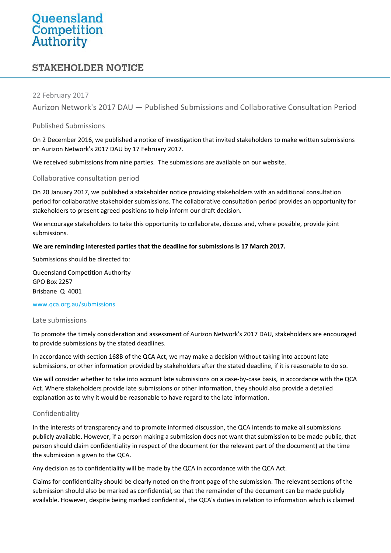# Queensland<br>Competition<br>Authority

# **STAKEHOLDER NOTICE**

# 22 February 2017

Aurizon Network's 2017 DAU — Published Submissions and Collaborative Consultation Period

# Published Submissions

On 2 December 2016, we published a notice of investigation that invited stakeholders to make written submissions on Aurizon Network's 2017 DAU by 17 February 2017.

We received submissions from nine parties. The submissions are available on our [website.](http://www.qca.org.au/Rail/Aurizon/Intro-to-Aurizon/UT5/In-Progress/2016-DAU)

# Collaborative consultation period

On 20 January 2017, we published a stakeholder notice providing stakeholders with an additional consultation period for collaborative stakeholder submissions. The collaborative consultation period provides an opportunity for stakeholders to present agreed positions to help inform our draft decision.

We encourage stakeholders to take this opportunity to collaborate, discuss and, where possible, provide joint submissions.

#### **We are reminding interested parties that the deadline for submissions is 17 March 2017.**

Submissions should be directed to:

Queensland Competition Authority GPO Box 2257 Brisbane Q 4001

#### [www.qca.org.au/submissions](http://www.qca.org.au/submissions)

#### Late submissions

To promote the timely consideration and assessment of Aurizon Network's 2017 DAU, stakeholders are encouraged to provide submissions by the stated deadlines.

In accordance with section 168B of the QCA Act, we may make a decision without taking into account late submissions, or other information provided by stakeholders after the stated deadline, if it is reasonable to do so.

We will consider whether to take into account late submissions on a case-by-case basis, in accordance with the QCA Act. Where stakeholders provide late submissions or other information, they should also provide a detailed explanation as to why it would be reasonable to have regard to the late information.

# Confidentiality

In the interests of transparency and to promote informed discussion, the QCA intends to make all submissions publicly available. However, if a person making a submission does not want that submission to be made public, that person should claim confidentiality in respect of the document (or the relevant part of the document) at the time the submission is given to the QCA.

Any decision as to confidentiality will be made by the QCA in accordance with the QCA Act.

Claims for confidentiality should be clearly noted on the front page of the submission. The relevant sections of the submission should also be marked as confidential, so that the remainder of the document can be made publicly available. However, despite being marked confidential, the QCA's duties in relation to information which is claimed